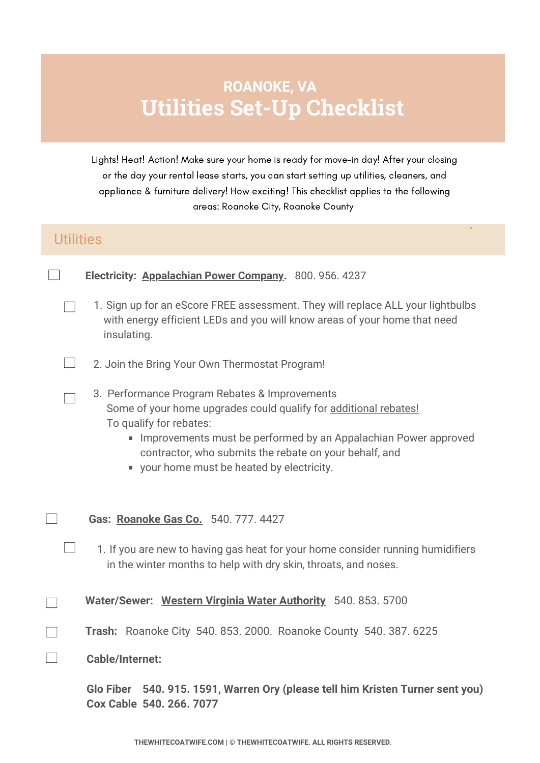## **Utilities Set-Up Checklist ROANOKE, VA**

Lights! Heat! Action! Make sure your home is ready for move-in day! After your closing or the day your rental lease starts, you can start setting up utilities, cleaners, and appliance & furniture delivery! How exciting! This checklist applies to the following areas: Roanoke City, Roanoke County

**.**

## **Utilities**

 $\mathbf{L}$ 

**Electricity: [Appalachian](https://www.appalachianpower.com/) Power Company.** 800. 956. 4237

- 1. Sign up for an eScore FREE assessment. They will replace ALL your lightbulbs with energy efficient LEDs and you will know areas of your home that need insulating.
- 2. Join the Bring Your Own Thermostat Program!
- 3. Performance Program Rebates & Improvements Some of your home upgrades could qualify for [additional](https://takechargeva.com/resources/docs/home-performance-program%20va%20rebates%202020%20-%20valid%20until%2012.31.21.pdf) rebates! To qualify for rebates:
	- **IMPRO** [Improvements](https://takechargeva.com/resource/contractors/find-a-contractor) must be performed by an Appalachian Power approved contractor, who submits the rebate on your behalf, and
	- your home must be heated by electricity.
- **Gas: [Roanoke](https://www.roanokegas.com/) Gas Co.** 540. 777. [4427](tel:5407774427)
	- 1. If you are new to having gas heat for your home consider running humidifiers in the winter months to help with dry skin, throats, and noses.

**Water/Sewer: Western Virginia Water [Authority](https://www.westernvawater.org/)** 540. 853. [5700](tel:540.853.5700)

- **Trash:** Roanoke City 540. 853. 2000. Roanoke County 540. 387. 6225
- **Cable/Internet:**

**Glo Fiber 540. 915. 1591, Warren Ory (please tell him Kristen Turner sent you) Cox [Cable](https://www.cox.com/local/residential/stores/va/roanoke/4760-valley-view-blvd?sc_id=dp_z_yext_z_store_19Q2?sc_id=dp_z_goog_z_store_19Q2) 540. 266. 7077**